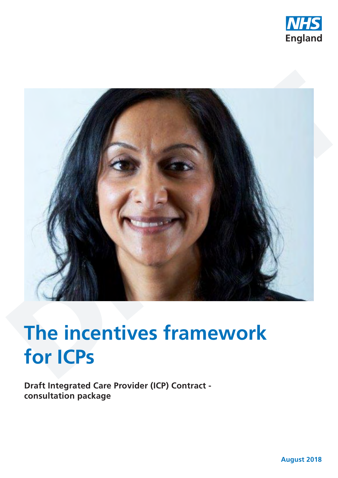



# **The incentives framework for ICPs**

**Draft Integrated Care Provider (ICP) Contract consultation package**

**August 2018**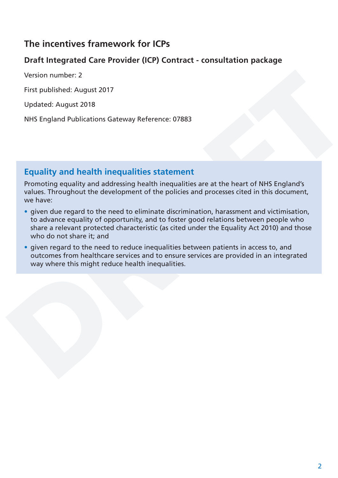## **The incentives framework for ICPs**

### **Draft Integrated Care Provider (ICP) Contract - consultation package**

Version number: 2

First published: August 2017

Updated: August 2018

NHS England Publications Gateway Reference: 07883

## **Equality and health inequalities statement**

Promoting equality and addressing health inequalities are at the heart of NHS England's values. Throughout the development of the policies and processes cited in this document, we have:

- given due regard to the need to eliminate discrimination, harassment and victimisation, to advance equality of opportunity, and to foster good relations between people who share a relevant protected characteristic (as cited under the Equality Act 2010) and those who do not share it; and
- given regard to the need to reduce inequalities between patients in access to, and outcomes from healthcare services and to ensure services are provided in an integrated way where this might reduce health inequalities.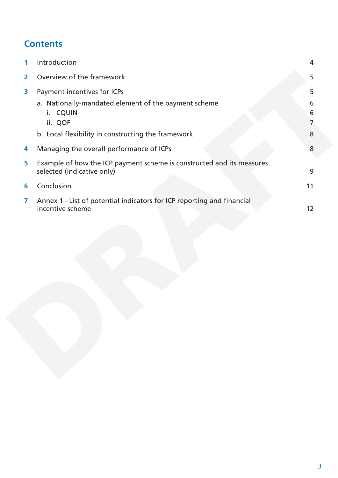# **Contents**

| 1                       | Introduction                                                                                        | 4           |
|-------------------------|-----------------------------------------------------------------------------------------------------|-------------|
| $\mathbf{2}$            | Overview of the framework                                                                           | 5           |
| 3                       | Payment incentives for ICPs                                                                         | 5           |
|                         | a. Nationally-mandated element of the payment scheme<br><b>CQUIN</b><br>Ι.<br>ii. QOF               | 6<br>6<br>7 |
|                         | b. Local flexibility in constructing the framework                                                  | 8           |
| 4                       | Managing the overall performance of ICPs                                                            | 8           |
| 5                       | Example of how the ICP payment scheme is constructed and its measures<br>selected (indicative only) | 9           |
| 6                       | Conclusion                                                                                          | 11          |
| $\overline{\mathbf{z}}$ | Annex 1 - List of potential indicators for ICP reporting and financial<br>incentive scheme          | 12          |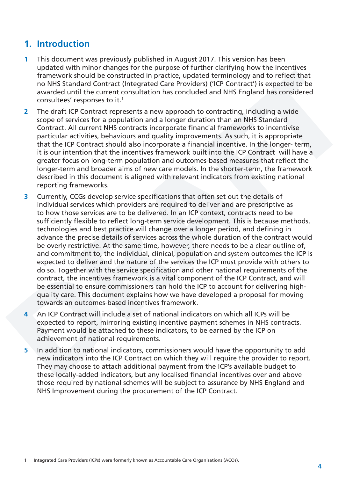### <span id="page-3-0"></span>**1. Introduction**

- **1** This document was previously published in August 2017. This version has been updated with minor changes for the purpose of further clarifying how the incentives framework should be constructed in practice, updated terminology and to reflect that no NHS Standard Contract (Integrated Care Providers) ('ICP Contract') is expected to be awarded until the current consultation has concluded and NHS England has considered consultees' responses to it.1
- **2** The draft ICP Contract represents a new approach to contracting, including a wide scope of services for a population and a longer duration than an NHS Standard Contract. All current NHS contracts incorporate financial frameworks to incentivise particular activities, behaviours and quality improvements. As such, it is appropriate that the ICP Contract should also incorporate a financial incentive. In the longer- term, it is our intention that the incentives framework built into the ICP Contract will have a greater focus on long-term population and outcomes-based measures that reflect the longer-term and broader aims of new care models. In the shorter-term, the framework described in this document is aligned with relevant indicators from existing national reporting frameworks.
- **3** Currently, CCGs develop service specifications that often set out the details of individual services which providers are required to deliver and are prescriptive as to how those services are to be delivered. In an ICP context, contracts need to be sufficiently flexible to reflect long-term service development. This is because methods, technologies and best practice will change over a longer period, and defining in advance the precise details of services across the whole duration of the contract would be overly restrictive. At the same time, however, there needs to be a clear outline of, and commitment to, the individual, clinical, population and system outcomes the ICP is expected to deliver and the nature of the services the ICP must provide with others to do so. Together with the service specification and other national requirements of the contract, the incentives framework is a vital component of the ICP Contract, and will be essential to ensure commissioners can hold the ICP to account for delivering highquality care. This document explains how we have developed a proposal for moving towards an outcomes-based incentives framework.
- **4** An ICP Contract will include a set of national indicators on which all ICPs will be expected to report, mirroring existing incentive payment schemes in NHS contracts. Payment would be attached to these indicators, to be earned by the ICP on achievement of national requirements.
- **5** In addition to national indicators, commissioners would have the opportunity to add new indicators into the ICP Contract on which they will require the provider to report. They may choose to attach additional payment from the ICP's available budget to these locally-added indicators, but any localised financial incentives over and above those required by national schemes will be subject to assurance by NHS England and NHS Improvement during the procurement of the ICP Contract.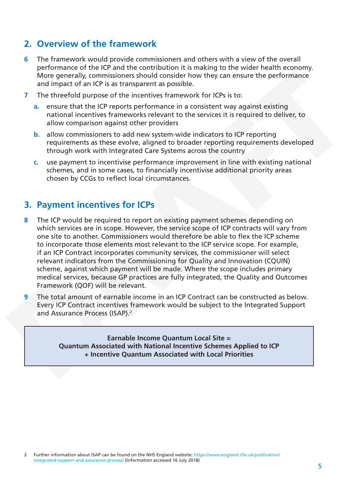### <span id="page-4-0"></span>**2. Overview of the framework**

- **6** The framework would provide commissioners and others with a view of the overall performance of the ICP and the contribution it is making to the wider health economy. More generally, commissioners should consider how they can ensure the performance and impact of an ICP is as transparent as possible.
- **7** The threefold purpose of the incentives framework for ICPs is to:
	- **a.** ensure that the ICP reports performance in a consistent way against existing national incentives frameworks relevant to the services it is required to deliver, to allow comparison against other providers
	- **b.** allow commissioners to add new system-wide indicators to ICP reporting requirements as these evolve, aligned to broader reporting requirements developed through work with Integrated Care Systems across the country
	- **c.** use payment to incentivise performance improvement in line with existing national schemes, and in some cases, to financially incentivise additional priority areas chosen by CCGs to reflect local circumstances.

#### **3. Payment incentives for ICPs**

- **8** The ICP would be required to report on existing payment schemes depending on which services are in scope. However, the service scope of ICP contracts will vary from one site to another. Commissioners would therefore be able to flex the ICP scheme to incorporate those elements most relevant to the ICP service scope. For example, if an ICP Contract incorporates community services, the commissioner will select relevant indicators from the Commissioning for Quality and Innovation (CQUIN) scheme, against which payment will be made. Where the scope includes primary medical services, because GP practices are fully integrated, the Quality and Outcomes Framework (QOF) will be relevant.
- **9** The total amount of earnable income in an ICP Contract can be constructed as below. Every ICP Contract incentives framework would be subject to the Integrated Support and Assurance Process (ISAP).<sup>2</sup>

**Earnable Income Quantum Local Site = Quantum Associated with National Incentive Schemes Applied to ICP + Incentive Quantum Associated with Local Priorities**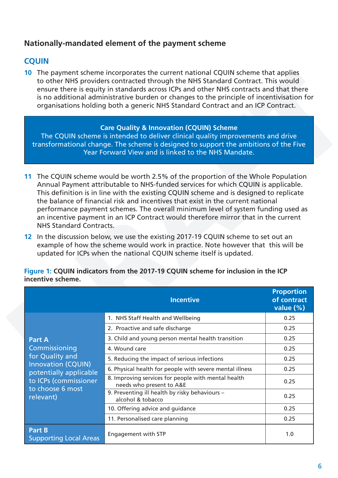#### <span id="page-5-0"></span>**Nationally-mandated element of the payment scheme**

#### **CQUIN**

**10** The payment scheme incorporates the current national CQUIN scheme that applies to other NHS providers contracted through the NHS Standard Contract. This would ensure there is equity in standards across ICPs and other NHS contracts and that there is no additional administrative burden or changes to the principle of incentivisation for organisations holding both a generic NHS Standard Contract and an ICP Contract.

#### **Care Quality & Innovation (CQUIN) Scheme**

The CQUIN scheme is intended to deliver clinical quality improvements and drive transformational change. The scheme is designed to support the ambitions of the Five Year Forward View and is linked to the NHS Mandate.

- **11** The CQUIN scheme would be worth 2.5% of the proportion of the Whole Population Annual Payment attributable to NHS-funded services for which CQUIN is applicable. This definition is in line with the existing CQUIN scheme and is designed to replicate the balance of financial risk and incentives that exist in the current national performance payment schemes. The overall minimum level of system funding used as an incentive payment in an ICP Contract would therefore mirror that in the current NHS Standard Contracts.
- **12** In the discussion below, we use the existing 2017-19 CQUIN scheme to set out an example of how the scheme would work in practice. Note however that this will be updated for ICPs when the national CQUIN scheme itself is updated.

|                                                     | <b>Incentive</b>                                                                | <b>Proportion</b><br>of contract<br>value $(\%)$ |
|-----------------------------------------------------|---------------------------------------------------------------------------------|--------------------------------------------------|
|                                                     | 1. NHS Staff Health and Wellbeing                                               | 0.25                                             |
|                                                     | 2. Proactive and safe discharge                                                 | 0.25                                             |
| <b>Part A</b>                                       | 3. Child and young person mental health transition                              | 0.25                                             |
| Commissioning                                       | 4. Wound care                                                                   | 0.25                                             |
| for Quality and                                     | 5. Reducing the impact of serious infections                                    | 0.25                                             |
| <b>Innovation (CQUIN)</b><br>potentially applicable | 6. Physical health for people with severe mental illness                        | 0.25                                             |
| to ICPs (commissioner<br>to choose 6 most           | 8. Improving services for people with mental health<br>needs who present to A&E | 0.25                                             |
| relevant)                                           | 9. Preventing ill health by risky behaviours -<br>alcohol & tobacco             | 0.25                                             |
|                                                     | 10. Offering advice and guidance                                                | 0.25                                             |
|                                                     | 11. Personalised care planning                                                  | 0.25                                             |
| Part B<br><b>Supporting Local Areas</b>             | Engagement with STP                                                             | 1.0                                              |

**Figure 1: CQUIN indicators from the 2017-19 CQUIN scheme for inclusion in the ICP incentive scheme.**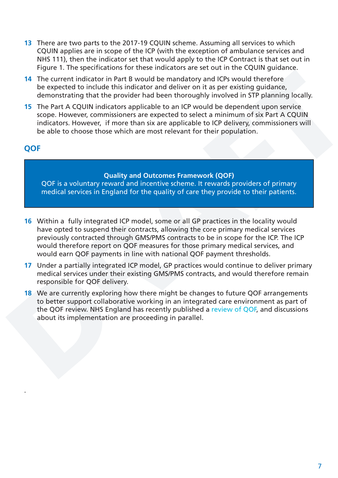- <span id="page-6-0"></span>**13** There are two parts to the 2017-19 CQUIN scheme. Assuming all services to which CQUIN applies are in scope of the ICP (with the exception of ambulance services and NHS 111), then the indicator set that would apply to the ICP Contract is that set out in Figure 1. The specifications for these indicators are set out in the CQUIN guidance.
- **14** The current indicator in Part B would be mandatory and ICPs would therefore be expected to include this indicator and deliver on it as per existing guidance, demonstrating that the provider had been thoroughly involved in STP planning locally.
- **15** The Part A CQUIN indicators applicable to an ICP would be dependent upon service scope. However, commissioners are expected to select a minimum of six Part A CQUIN indicators. However, if more than six are applicable to ICP delivery, commissioners will be able to choose those which are most relevant for their population.

#### **QOF**

.

#### **Quality and Outcomes Framework (QOF)**

QOF is a voluntary reward and incentive scheme. It rewards providers of primary medical services in England for the quality of care they provide to their patients.

- **16** Within a fully integrated ICP model, some or all GP practices in the locality would have opted to suspend their contracts, allowing the core primary medical services previously contracted through GMS/PMS contracts to be in scope for the ICP. The ICP would therefore report on QOF measures for those primary medical services, and would earn QOF payments in line with national QOF payment thresholds.
- **17** Under a partially integrated ICP model, GP practices would continue to deliver primary medical services under their existing GMS/PMS contracts, and would therefore remain responsible for QOF delivery.
- **18** We are currently exploring how there might be changes to future QOF arrangements to better support collaborative working in an integrated care environment as part of the QOF review. NHS England has recently published a [review of QOF,](https://www.england.nhs.uk/publication/report-of-the-review-of-the-quality-and-outcomes-framework-in-england/) and discussions about its implementation are proceeding in parallel.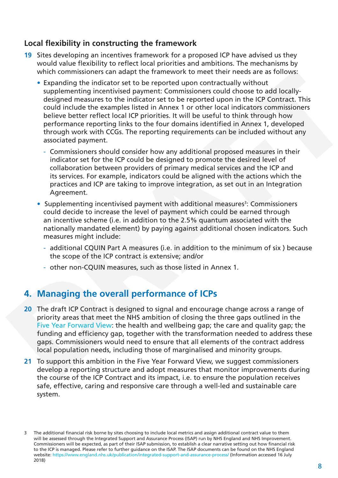#### <span id="page-7-0"></span>**Local flexibility in constructing the framework**

- **19** Sites developing an incentives framework for a proposed ICP have advised us they would value flexibility to reflect local priorities and ambitions. The mechanisms by which commissioners can adapt the framework to meet their needs are as follows:
	- Expanding the indicator set to be reported upon contractually without supplementing incentivised payment: Commissioners could choose to add locallydesigned measures to the indicator set to be reported upon in the ICP Contract. This could include the examples listed in Annex 1 or other local indicators commissioners believe better reflect local ICP priorities. It will be useful to think through how performance reporting links to the four domains identified in Annex 1, developed through work with CCGs. The reporting requirements can be included without any associated payment.
		- Commissioners should consider how any additional proposed measures in their indicator set for the ICP could be designed to promote the desired level of collaboration between providers of primary medical services and the ICP and its services. For example, indicators could be aligned with the actions which the practices and ICP are taking to improve integration, as set out in an Integration Agreement.
	- Supplementing incentivised payment with additional measures<sup>3</sup>: Commissioners could decide to increase the level of payment which could be earned through an incentive scheme (i.e. in addition to the 2.5% quantum associated with the nationally mandated element) by paying against additional chosen indicators. Such measures might include:
		- additional CQUIN Part A measures (i.e. in addition to the minimum of six ) because the scope of the ICP contract is extensive; and/or
		- other non-CQUIN measures, such as those listed in Annex 1.

## **4. Managing the overall performance of ICPs**

- **20** The draft ICP Contract is designed to signal and encourage change across a range of priority areas that meet the NHS ambition of closing the three gaps outlined in the [Five Year Forward View:](https://www.england.nhs.uk/publication/nhs-five-year-forward-view/) the health and wellbeing gap; the care and quality gap; the funding and efficiency gap, together with the transformation needed to address these gaps. Commissioners would need to ensure that all elements of the contract address local population needs, including those of marginalised and minority groups.
- **21** To support this ambition in the Five Year Forward View, we suggest commissioners develop a reporting structure and adopt measures that monitor improvements during the course of the ICP Contract and its impact, i.e. to ensure the population receives safe, effective, caring and responsive care through a well-led and sustainable care system.

<sup>3</sup> The additional financial risk borne by sites choosing to include local metrics and assign additional contract value to them will be assessed through the Integrated Support and Assurance Process (ISAP) run by NHS England and NHS Improvement. Commissioners will be expected, as part of their ISAP submission, to establish a clear narrative setting out how financial risk to the ICP is managed. Please refer to further guidance on the ISAP. The ISAP documents can be found on the NHS England website: <https://www.england.nhs.uk/publication/integrated-support-and-assurance-process/> (Information accessed 16 July 2018)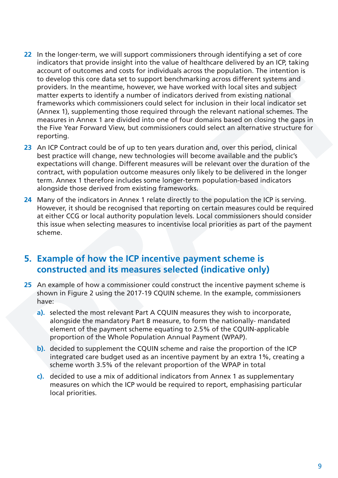- <span id="page-8-0"></span>**22** In the longer-term, we will support commissioners through identifying a set of core indicators that provide insight into the value of healthcare delivered by an ICP, taking account of outcomes and costs for individuals across the population. The intention is to develop this core data set to support benchmarking across different systems and providers. In the meantime, however, we have worked with local sites and subject matter experts to identify a number of indicators derived from existing national frameworks which commissioners could select for inclusion in their local indicator set (Annex 1), supplementing those required through the relevant national schemes. The measures in Annex 1 are divided into one of four domains based on closing the gaps in the Five Year Forward View, but commissioners could select an alternative structure for reporting.
- **23** An ICP Contract could be of up to ten years duration and, over this period, clinical best practice will change, new technologies will become available and the public's expectations will change. Different measures will be relevant over the duration of the contract, with population outcome measures only likely to be delivered in the longer term. Annex 1 therefore includes some longer-term population-based indicators alongside those derived from existing frameworks.
- **24** Many of the indicators in Annex 1 relate directly to the population the ICP is serving. However, it should be recognised that reporting on certain measures could be required at either CCG or local authority population levels. Local commissioners should consider this issue when selecting measures to incentivise local priorities as part of the payment scheme.

## **5. Example of how the ICP incentive payment scheme is constructed and its measures selected (indicative only)**

- **25** An example of how a commissioner could construct the incentive payment scheme is shown in Figure 2 using the 2017-19 CQUIN scheme. In the example, commissioners have:
	- **a).** selected the most relevant Part A CQUIN measures they wish to incorporate, alongside the mandatory Part B measure, to form the nationally- mandated element of the payment scheme equating to 2.5% of the CQUIN-applicable proportion of the Whole Population Annual Payment (WPAP).
	- **b).** decided to supplement the CQUIN scheme and raise the proportion of the ICP integrated care budget used as an incentive payment by an extra 1%, creating a scheme worth 3.5% of the relevant proportion of the WPAP in total
	- **c).** decided to use a mix of additional indicators from Annex 1 as supplementary measures on which the ICP would be required to report, emphasising particular local priorities.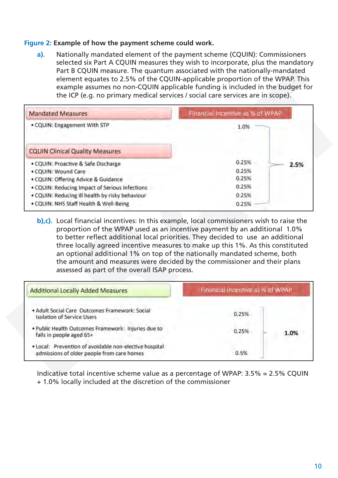#### **Figure 2: Example of how the payment scheme could work.**

**a).** Nationally mandated element of the payment scheme (CQUIN): Commissioners selected six Part A CQUIN measures they wish to incorporate, plus the mandatory Part B CQUIN measure. The quantum associated with the nationally-mandated element equates to 2.5% of the CQUIN-applicable proportion of the WPAP. This example assumes no non-CQUIN applicable funding is included in the budget for the ICP (e.g. no primary medical services / social care services are in scope).

| <b>Mandated Measures</b>                        | Financial Incentive as % of WPAP |  |  |
|-------------------------------------------------|----------------------------------|--|--|
| . CQUIN: Engagement With STP                    | 1.0%                             |  |  |
| <b>CQUIN Clinical Quality Measures</b>          |                                  |  |  |
| · CQUIN: Proactive & Safe Discharge             | 0.25%<br>2.5%                    |  |  |
| · CQUIN: Wound Care                             | 0.25%                            |  |  |
| · CQUIN: Offering Advice & Guidance             | 0.25%                            |  |  |
| . CQUIN: Reducing Impact of Serious Infections  | 0.25%                            |  |  |
| . CQUIN: Reducing ill health by risky behaviour | 0.25%                            |  |  |
| . CQUIN: NHS Staff Health & Well-Being          | 0.25%                            |  |  |

**b),c).** Local financial incentives: In this example, local commissioners wish to raise the proportion of the WPAP used as an incentive payment by an additional 1.0% to better reflect additional local priorities. They decided to use an additional three locally agreed incentive measures to make up this 1%. As this constituted an optional additional 1% on top of the nationally mandated scheme, both the amount and measures were decided by the commissioner and their plans assessed as part of the overall ISAP process.

| <b>Additional Locally Added Measures</b>                                                             | Financial Incentive as % of WPAP |  |  |
|------------------------------------------------------------------------------------------------------|----------------------------------|--|--|
| . Adult Social Care Outcomes Framework: Social<br><b>Isolation of Service Users</b>                  | 0.25%                            |  |  |
| . Public Health Outcomes Framework: Injuries due to<br>falls in people aged 65+                      | 0.25%<br>1.0%                    |  |  |
| . Local: Prevention of avoidable non-elective hospital<br>admissions of older people from care homes | 0.5%                             |  |  |

Indicative total incentive scheme value as a percentage of WPAP: 3.5% = 2.5% CQUIN + 1.0% locally included at the discretion of the commissioner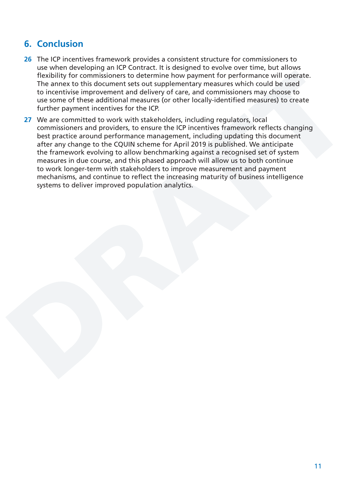## <span id="page-10-0"></span>**6. Conclusion**

- **26** The ICP incentives framework provides a consistent structure for commissioners to use when developing an ICP Contract. It is designed to evolve over time, but allows flexibility for commissioners to determine how payment for performance will operate. The annex to this document sets out supplementary measures which could be used to incentivise improvement and delivery of care, and commissioners may choose to use some of these additional measures (or other locally-identified measures) to create further payment incentives for the ICP.
- **27** We are committed to work with stakeholders, including regulators, local commissioners and providers, to ensure the ICP incentives framework reflects changing best practice around performance management, including updating this document after any change to the CQUIN scheme for April 2019 is published. We anticipate the framework evolving to allow benchmarking against a recognised set of system measures in due course, and this phased approach will allow us to both continue to work longer-term with stakeholders to improve measurement and payment mechanisms, and continue to reflect the increasing maturity of business intelligence systems to deliver improved population analytics.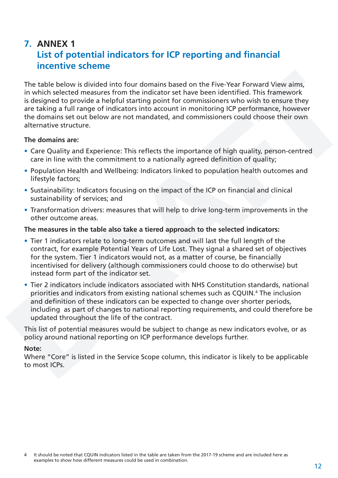## <span id="page-11-0"></span>**7. ANNEX 1 List of potential indicators for ICP reporting and financial incentive scheme**

The table below is divided into four domains based on the Five-Year Forward View aims, in which selected measures from the indicator set have been identified. This framework is designed to provide a helpful starting point for commissioners who wish to ensure they are taking a full range of indicators into account in monitoring ICP performance, however the domains set out below are not mandated, and commissioners could choose their own alternative structure.

#### **The domains are:**

- Care Quality and Experience: This reflects the importance of high quality, person-centred care in line with the commitment to a nationally agreed definition of quality;
- Population Health and Wellbeing: Indicators linked to population health outcomes and lifestyle factors;
- Sustainability: Indicators focusing on the impact of the ICP on financial and clinical sustainability of services; and
- Transformation drivers: measures that will help to drive long-term improvements in the other outcome areas.

#### **The measures in the table also take a tiered approach to the selected indicators:**

- Tier 1 indicators relate to long-term outcomes and will last the full length of the contract, for example Potential Years of Life Lost. They signal a shared set of objectives for the system. Tier 1 indicators would not, as a matter of course, be financially incentivised for delivery (although commissioners could choose to do otherwise) but instead form part of the indicator set.
- Tier 2 indicators include indicators associated with NHS Constitution standards, national priorities and indicators from existing national schemes such as CQUIN.4 The inclusion and definition of these indicators can be expected to change over shorter periods, including as part of changes to national reporting requirements, and could therefore be updated throughout the life of the contract.

This list of potential measures would be subject to change as new indicators evolve, or as policy around national reporting on ICP performance develops further.

#### **Note:**

Where "Core" is listed in the Service Scope column, this indicator is likely to be applicable to most ICPs.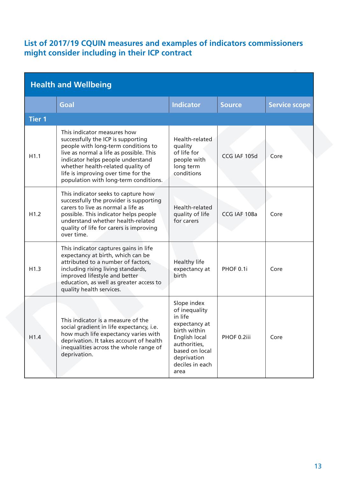#### **List of 2017/19 CQUIN measures and examples of indicators commissioners might consider including in their ICP contract**

| <b>Health and Wellbeing</b> |                                                                                                                                                                                                                                                                                                               |                                                                                                                                                                       |               |                      |  |
|-----------------------------|---------------------------------------------------------------------------------------------------------------------------------------------------------------------------------------------------------------------------------------------------------------------------------------------------------------|-----------------------------------------------------------------------------------------------------------------------------------------------------------------------|---------------|----------------------|--|
|                             | Goal                                                                                                                                                                                                                                                                                                          | <b>Indicator</b>                                                                                                                                                      | <b>Source</b> | <b>Service scope</b> |  |
| <b>Tier 1</b>               |                                                                                                                                                                                                                                                                                                               |                                                                                                                                                                       |               |                      |  |
| H1.1                        | This indicator measures how<br>successfully the ICP is supporting<br>people with long-term conditions to<br>live as normal a life as possible. This<br>indicator helps people understand<br>whether health-related quality of<br>life is improving over time for the<br>population with long-term conditions. | Health-related<br>quality<br>of life for<br>people with<br>long term<br>conditions                                                                                    | CCG IAF 105d  | Core                 |  |
| H1.2                        | This indicator seeks to capture how<br>successfully the provider is supporting<br>carers to live as normal a life as<br>possible. This indicator helps people<br>understand whether health-related<br>quality of life for carers is improving<br>over time.                                                   | Health-related<br>quality of life<br>for carers                                                                                                                       | CCG IAF 108a  | Core                 |  |
| H1.3                        | This indicator captures gains in life<br>expectancy at birth, which can be<br>attributed to a number of factors,<br>including rising living standards,<br>improved lifestyle and better<br>education, as well as greater access to<br>quality health services.                                                | <b>Healthy life</b><br>expectancy at<br>birth                                                                                                                         | PHOF 0.1i     | Core                 |  |
| H1.4                        | This indicator is a measure of the<br>social gradient in life expectancy, i.e.<br>how much life expectancy varies with<br>deprivation. It takes account of health<br>inequalities across the whole range of<br>deprivation.                                                                                   | Slope index<br>of inequality<br>in life<br>expectancy at<br>birth within<br>English local<br>authorities,<br>based on local<br>deprivation<br>deciles in each<br>area | PHOF 0.2iii   | Core                 |  |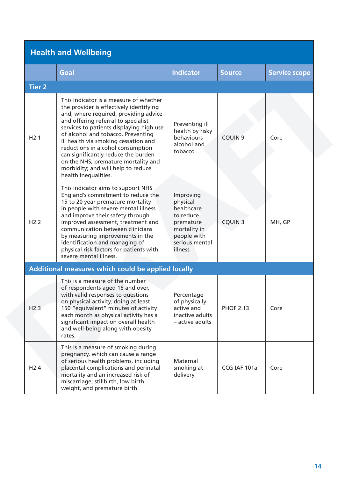# **Health and Wellbeing**

|               | Goal                                                                                                                                                                                                                                                                                                                                                                                                                                                                         | <b>Indicator</b>                                                                                                          | <b>Source</b>    | <b>Service scope</b> |  |  |  |
|---------------|------------------------------------------------------------------------------------------------------------------------------------------------------------------------------------------------------------------------------------------------------------------------------------------------------------------------------------------------------------------------------------------------------------------------------------------------------------------------------|---------------------------------------------------------------------------------------------------------------------------|------------------|----------------------|--|--|--|
| <b>Tier 2</b> |                                                                                                                                                                                                                                                                                                                                                                                                                                                                              |                                                                                                                           |                  |                      |  |  |  |
| H2.1          | This indicator is a measure of whether<br>the provider is effectively identifying<br>and, where required, providing advice<br>and offering referral to specialist<br>services to patients displaying high use<br>of alcohol and tobacco. Preventing<br>ill health via smoking cessation and<br>reductions in alcohol consumption<br>can significantly reduce the burden<br>on the NHS; premature mortality and<br>morbidity; and will help to reduce<br>health inequalities. | Preventing ill<br>health by risky<br>behaviours-<br>alcohol and<br>tobacco                                                | <b>CQUIN 9</b>   | Core                 |  |  |  |
| H2.2          | This indicator aims to support NHS<br>England's commitment to reduce the<br>15 to 20 year premature mortality<br>in people with severe mental illness<br>and improve their safety through<br>improved assessment, treatment and<br>communication between clinicians<br>by measuring improvements in the<br>identification and managing of<br>physical risk factors for patients with<br>severe mental illness.                                                               | Improving<br>physical<br>healthcare<br>to reduce<br>premature<br>mortality in<br>people with<br>serious mental<br>illness | <b>CQUIN 3</b>   | MH, GP               |  |  |  |
|               | Additional measures which could be applied locally                                                                                                                                                                                                                                                                                                                                                                                                                           |                                                                                                                           |                  |                      |  |  |  |
| H2.3          | This is a measure of the number<br>of respondents aged 16 and over,<br>with valid responses to questions<br>on physical activity, doing at least<br>150 "equivalent" minutes of activity<br>each month as physical activity has a<br>significant impact on overall health<br>and well-being along with obesity<br>rates.                                                                                                                                                     | Percentage<br>of physically<br>active and<br>inactive adults<br>- active adults                                           | <b>PHOF 2.13</b> | Core                 |  |  |  |
| H2.4          | This is a measure of smoking during<br>pregnancy, which can cause a range<br>of serious health problems, including<br>placental complications and perinatal<br>mortality and an increased risk of<br>miscarriage, stillbirth, low birth<br>weight, and premature birth.                                                                                                                                                                                                      | Maternal<br>smoking at<br>delivery                                                                                        | CCG IAF 101a     | Core                 |  |  |  |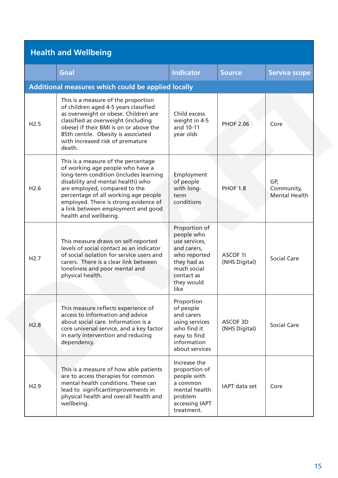# **Health and Wellbeing**

|                  | Goal                                                                                                                                                                                                                                                                                                                                    | <b>Indicator</b>                                                                                                                              | <b>Source</b>                    | <b>Service scope</b>                      |  |  |  |
|------------------|-----------------------------------------------------------------------------------------------------------------------------------------------------------------------------------------------------------------------------------------------------------------------------------------------------------------------------------------|-----------------------------------------------------------------------------------------------------------------------------------------------|----------------------------------|-------------------------------------------|--|--|--|
|                  | <b>Additional measures which could be applied locally</b>                                                                                                                                                                                                                                                                               |                                                                                                                                               |                                  |                                           |  |  |  |
| H2.5             | This is a measure of the proportion<br>of children aged 4-5 years classified<br>as overweight or obese. Children are<br>classified as overweight (including<br>obese) if their BMI is on or above the<br>85th centile. Obesity is associated<br>with increased risk of premature<br>death.                                              | Child excess<br>weight in 4-5<br>and 10-11<br>year olds                                                                                       | <b>PHOF 2.06</b>                 | Core                                      |  |  |  |
| H <sub>2.6</sub> | This is a measure of the percentage<br>of working age people who have a<br>long-term condition (includes learning<br>disability and mental health) who<br>are employed, compared to the<br>percentage of all working age people<br>employed. There is strong evidence of<br>a link between employment and good<br>health and wellbeing. | Employment<br>of people<br>with long-<br>term<br>conditions                                                                                   | <b>PHOF 1.8</b>                  | GP,<br>Community,<br><b>Mental Health</b> |  |  |  |
| H2.7             | This measure draws on self-reported<br>levels of social contact as an indicator<br>of social isolation for service users and<br>carers. There is a clear link between<br>loneliness and poor mental and<br>physical health.                                                                                                             | Proportion of<br>people who<br>use services,<br>and carers,<br>who reported<br>they had as<br>much social<br>contact as<br>they would<br>like | <b>ASCOF 1I</b><br>(NHS Digital) | <b>Social Care</b>                        |  |  |  |
| H2.8             | This measure reflects experience of<br>access to information and advice<br>about social care. Information is a<br>core universal service, and a key factor<br>in early intervention and reducing<br>dependency.                                                                                                                         | Proportion<br>of people<br>and carers<br>using services<br>who find it<br>easy to find<br>information<br>about services                       | ASCOF 3D<br>(NHS Digital)        | Social Care                               |  |  |  |
| H2.9             | This is a measure of how able patients<br>are to access therapies for common<br>mental health conditions. These can<br>lead to significantimprovements in<br>physical health and overall health and<br>wellbeing.                                                                                                                       | Increase the<br>proportion of<br>people with<br>a common<br>mental health<br>problem<br>accessing IAPT<br>treatment.                          | IAPT data set                    | Core                                      |  |  |  |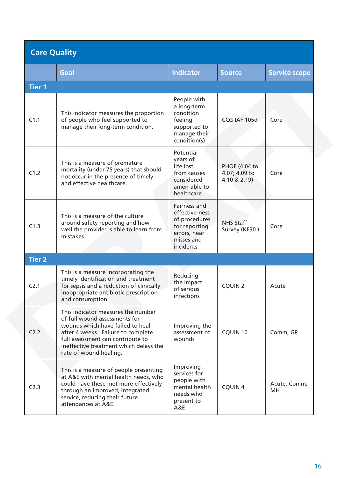| <b>Care Quality</b> |                                                                                                                                                                                                                                                        |                                                                                                             |                                                |                      |
|---------------------|--------------------------------------------------------------------------------------------------------------------------------------------------------------------------------------------------------------------------------------------------------|-------------------------------------------------------------------------------------------------------------|------------------------------------------------|----------------------|
|                     | Goal                                                                                                                                                                                                                                                   | <b>Indicator</b>                                                                                            | <b>Source</b>                                  | <b>Service scope</b> |
| <b>Tier 1</b>       |                                                                                                                                                                                                                                                        |                                                                                                             |                                                |                      |
| C1.1                | This indicator measures the proportion<br>of people who feel supported to<br>manage their long-term condition.                                                                                                                                         | People with<br>a long-term<br>condition<br>feeling<br>supported to<br>manage their<br>condition(s)          | CCG IAF 105d                                   | Core                 |
| C1.2                | This is a measure of premature<br>mortality (under 75 years) that should<br>not occur in the presence of timely<br>and effective healthcare.                                                                                                           | Potential<br>years of<br>life lost<br>from causes<br>considered<br>amen-able to<br>healthcare.              | PHOF (4.04 to<br>4.07; 4.09 to<br>4.10 & 2.19) | Core                 |
| C1.3                | This is a measure of the culture<br>around safety reporting and how<br>well the provider is able to learn from<br>mistakes.                                                                                                                            | Fairness and<br>effective-ness<br>of procedures<br>for reporting<br>errors, near<br>misses and<br>incidents | <b>NHS Staff</b><br>Survey (KF30)              | Core                 |
| <b>Tier 2</b>       |                                                                                                                                                                                                                                                        |                                                                                                             |                                                |                      |
| C <sub>2.1</sub>    | This is a measure incorporating the<br>timely identification and treatment<br>for sepsis and a reduction of clinically<br>inappropriate antibiotic prescription<br>and consumption.                                                                    | Reducing<br>the impact<br>of serious<br>infections                                                          | <b>CQUIN 2</b>                                 | Acute                |
| C <sub>2.2</sub>    | This indicator measures the number<br>of full wound assessments for<br>wounds which have failed to heal<br>after 4 weeks. Failure to complete<br>full assessment can contribute to<br>ineffective treatment which delays the<br>rate of wound healing. | Improving the<br>assessment of<br>wounds                                                                    | <b>CQUIN 10</b>                                | Comm, GP             |
| C2.3                | This is a measure of people presenting<br>at A&E with mental health needs, who<br>could have these met more effectively<br>through an improved, integrated<br>service, reducing their future<br>attendances at A&E.                                    | Improving<br>services for<br>people with<br>mental health<br>needs who<br>present to<br>A&E                 | <b>CQUIN 4</b>                                 | Acute, Comm,<br>MН   |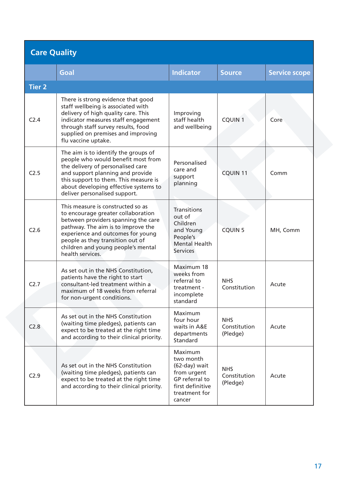| <b>Care Quality</b> |                                                                                                                                                                                                                                                                                         |                                                                                                                       |                                        |                      |
|---------------------|-----------------------------------------------------------------------------------------------------------------------------------------------------------------------------------------------------------------------------------------------------------------------------------------|-----------------------------------------------------------------------------------------------------------------------|----------------------------------------|----------------------|
|                     | Goal                                                                                                                                                                                                                                                                                    | <b>Indicator</b>                                                                                                      | <b>Source</b>                          | <b>Service scope</b> |
| <b>Tier 2</b>       |                                                                                                                                                                                                                                                                                         |                                                                                                                       |                                        |                      |
| C <sub>2.4</sub>    | There is strong evidence that good<br>staff wellbeing is associated with<br>delivery of high quality care. This<br>indicator measures staff engagement<br>through staff survey results, food<br>supplied on premises and improving<br>flu vaccine uptake.                               | Improving<br>staff health<br>and wellbeing                                                                            | <b>CQUIN 1</b>                         | Core                 |
| C2.5                | The aim is to identify the groups of<br>people who would benefit most from<br>the delivery of personalised care<br>and support planning and provide<br>this support to them. This measure is<br>about developing effective systems to<br>deliver personalised support.                  | Personalised<br>care and<br>support<br>planning                                                                       | <b>CQUIN 11</b>                        | Comm                 |
| C <sub>2.6</sub>    | This measure is constructed so as<br>to encourage greater collaboration<br>between providers spanning the care<br>pathway. The aim is to improve the<br>experience and outcomes for young<br>people as they transition out of<br>children and young people's mental<br>health services. | <b>Transitions</b><br>out of<br>Children<br>and Young<br>People's<br><b>Mental Health</b><br><b>Services</b>          | <b>CQUIN 5</b>                         | MH, Comm             |
| C2.7                | As set out in the NHS Constitution,<br>patients have the right to start<br>consultant-led treatment within a<br>maximum of 18 weeks from referral<br>for non-urgent conditions.                                                                                                         | Maximum 18<br>weeks from<br>referral to<br>treatment -<br>incomplete<br>standard                                      | <b>NHS</b><br>Constitution             | Acute                |
| C <sub>2.8</sub>    | As set out in the NHS Constitution<br>(waiting time pledges), patients can<br>expect to be treated at the right time<br>and according to their clinical priority.                                                                                                                       | Maximum<br>four hour<br>waits in A&E<br>departments<br>Standard                                                       | <b>NHS</b><br>Constitution<br>(Pledge) | Acute                |
| C <sub>2.9</sub>    | As set out in the NHS Constitution<br>(waiting time pledges), patients can<br>expect to be treated at the right time<br>and according to their clinical priority.                                                                                                                       | Maximum<br>two month<br>(62-day) wait<br>from urgent<br>GP referral to<br>first definitive<br>treatment for<br>cancer | <b>NHS</b><br>Constitution<br>(Pledge) | Acute                |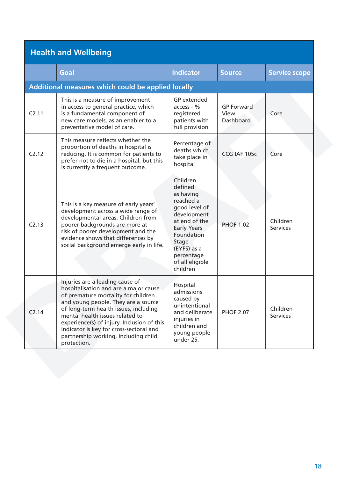# **Health and Wellbeing**

|                   | Goal                                                                                                                                                                                                                                                                                                                                                                               | <b>Indicator</b>                                                                                                                                                                                        | <b>Source</b>                          | <b>Service scope</b>        |
|-------------------|------------------------------------------------------------------------------------------------------------------------------------------------------------------------------------------------------------------------------------------------------------------------------------------------------------------------------------------------------------------------------------|---------------------------------------------------------------------------------------------------------------------------------------------------------------------------------------------------------|----------------------------------------|-----------------------------|
|                   | <b>Additional measures which could be applied locally</b>                                                                                                                                                                                                                                                                                                                          |                                                                                                                                                                                                         |                                        |                             |
| C2.11             | This is a measure of improvement<br>in access to general practice, which<br>is a fundamental component of<br>new care models, as an enabler to a<br>preventative model of care.                                                                                                                                                                                                    | <b>GP</b> extended<br>access - %<br>registered<br>patients with<br>full provision                                                                                                                       | <b>GP Forward</b><br>View<br>Dashboard | Core                        |
| C2.12             | This measure reflects whether the<br>proportion of deaths in hospital is<br>reducing. It is common for patients to<br>prefer not to die in a hospital, but this<br>is currently a frequent outcome.                                                                                                                                                                                | Percentage of<br>deaths which<br>take place in<br>hospital                                                                                                                                              | CCG IAF 105c                           | Core                        |
| C2.13             | This is a key measure of early years'<br>development across a wide range of<br>developmental areas. Children from<br>poorer backgrounds are more at<br>risk of poorer development and the<br>evidence shows that differences by<br>social background emerge early in life.                                                                                                         | Children<br>defined<br>as having<br>reached a<br>good level of<br>development<br>at end of the<br><b>Early Years</b><br>Foundation<br>Stage<br>(EYFS) as a<br>percentage<br>of all eligible<br>children | <b>PHOF 1.02</b>                       | Children<br><b>Services</b> |
| C <sub>2.14</sub> | Injuries are a leading cause of<br>hospitalisation and are a major cause<br>of premature mortality for children<br>and young people. They are a source<br>of long-term health issues, including<br>mental health issues related to<br>experience(s) of injury. Inclusion of this<br>indicator is key for cross-sectoral and<br>partnership working, including child<br>protection. | Hospital<br>admissions<br>caused by<br>unintentional<br>and deliberate<br>injuries in<br>children and<br>young people<br>under 25.                                                                      | <b>PHOF 2.07</b>                       | Children<br><b>Services</b> |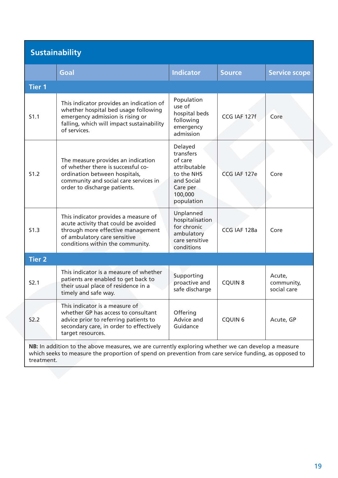| <b>Sustainability</b> |                                                                                                                                                                                                             |                                                                                                                  |                |                                     |  |
|-----------------------|-------------------------------------------------------------------------------------------------------------------------------------------------------------------------------------------------------------|------------------------------------------------------------------------------------------------------------------|----------------|-------------------------------------|--|
|                       | Goal                                                                                                                                                                                                        | <b>Indicator</b>                                                                                                 | <b>Source</b>  | <b>Service scope</b>                |  |
| <b>Tier 1</b>         |                                                                                                                                                                                                             |                                                                                                                  |                |                                     |  |
| S1.1                  | This indicator provides an indication of<br>whether hospital bed usage following<br>emergency admission is rising or<br>falling, which will impact sustainability<br>of services.                           | Population<br>use of<br>hospital beds<br>following<br>emergency<br>admission                                     | CCG IAF 127f   | Core                                |  |
| S1.2                  | The measure provides an indication<br>of whether there is successful co-<br>ordination between hospitals,<br>community and social care services in<br>order to discharge patients.                          | Delayed<br>transfers<br>of care<br>attributable<br>to the NHS<br>and Social<br>Care per<br>100,000<br>population | CCG IAF 127e   | Core                                |  |
| S1.3                  | This indicator provides a measure of<br>acute activity that could be avoided<br>through more effective management<br>of ambulatory care sensitive<br>conditions within the community.                       | Unplanned<br>hospitalisation<br>for chronic<br>ambulatory<br>care sensitive<br>conditions                        | CCG IAF 128a   | Core                                |  |
| <b>Tier 2</b>         |                                                                                                                                                                                                             |                                                                                                                  |                |                                     |  |
| S2.1                  | This indicator is a measure of whether<br>patients are enabled to get back to<br>their usual place of residence in a<br>timely and safe way.                                                                | Supporting<br>proactive and<br>safe discharge                                                                    | <b>CQUIN 8</b> | Acute,<br>community,<br>social care |  |
| <b>S2.2</b>           | This indicator is a measure of<br>whether GP has access to consultant<br>advice prior to referring patients to<br>secondary care, in order to effectively<br>target resources.                              | Offering<br>Advice and<br>Guidance                                                                               | <b>CQUIN 6</b> | Acute, GP                           |  |
| treatment.            | NB: In addition to the above measures, we are currently exploring whether we can develop a measure<br>which seeks to measure the proportion of spend on prevention from care service funding, as opposed to |                                                                                                                  |                |                                     |  |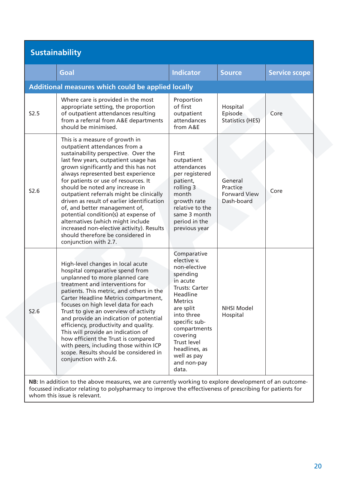# **Sustainability**

|      | Goal                                                                                                                                                                                                                                                                                                                                                                                                                                                                                                                                                                                                                        | <b>Indicator</b>                                                                                                                                                                                                                                                         | <b>Source</b>                                            | <b>Service scope</b> |
|------|-----------------------------------------------------------------------------------------------------------------------------------------------------------------------------------------------------------------------------------------------------------------------------------------------------------------------------------------------------------------------------------------------------------------------------------------------------------------------------------------------------------------------------------------------------------------------------------------------------------------------------|--------------------------------------------------------------------------------------------------------------------------------------------------------------------------------------------------------------------------------------------------------------------------|----------------------------------------------------------|----------------------|
|      | Additional measures which could be applied locally                                                                                                                                                                                                                                                                                                                                                                                                                                                                                                                                                                          |                                                                                                                                                                                                                                                                          |                                                          |                      |
| S2.5 | Where care is provided in the most<br>appropriate setting, the proportion<br>of outpatient attendances resulting<br>from a referral from A&E departments<br>should be minimised.                                                                                                                                                                                                                                                                                                                                                                                                                                            | Proportion<br>of first<br>outpatient<br>attendances<br>from A&E                                                                                                                                                                                                          | Hospital<br>Episode<br><b>Statistics (HES)</b>           | Core                 |
| S2.6 | This is a measure of growth in<br>outpatient attendances from a<br>sustainability perspective. Over the<br>last few years, outpatient usage has<br>grown significantly and this has not<br>always represented best experience<br>for patients or use of resources. It<br>should be noted any increase in<br>outpatient referrals might be clinically<br>driven as result of earlier identification<br>of, and better management of,<br>potential condition(s) at expense of<br>alternatives (which might include<br>increased non-elective activity). Results<br>should therefore be considered in<br>conjunction with 2.7. | First<br>outpatient<br>attendances<br>per registered<br>patient,<br>rolling 3<br>month<br>growth rate<br>relative to the<br>same 3 month<br>period in the<br>previous year                                                                                               | General<br>Practice<br><b>Forward View</b><br>Dash-board | Core                 |
| S2.6 | High-level changes in local acute<br>hospital comparative spend from<br>unplanned to more planned care<br>treatment and interventions for<br>patients. This metric, and others in the<br>Carter Headline Metrics compartment,<br>focuses on high level data for each<br>Trust to give an overview of activity<br>and provide an indication of potential<br>efficiency, productivity and quality.<br>This will provide an indication of<br>how efficient the Trust is compared<br>with peers, including those within ICP<br>scope. Results should be considered in<br>conjunction with 2.6.                                  | Comparative<br>elective v.<br>non-elective<br>spending<br>in acute<br><b>Trusts: Carter</b><br>Headline<br><b>Metrics</b><br>are split<br>into three<br>specific sub-<br>compartments<br>covering<br>Trust level<br>headlines, as<br>well as pay<br>and non-pay<br>data. | <b>NHSI Model</b><br>Hospital                            |                      |
|      | NB: In addition to the above measures, we are currently working to explore development of an outcome-                                                                                                                                                                                                                                                                                                                                                                                                                                                                                                                       |                                                                                                                                                                                                                                                                          |                                                          |                      |

focussed indicator relating to polypharmacy to improve the effectiveness of prescribing for patients for whom this issue is relevant.